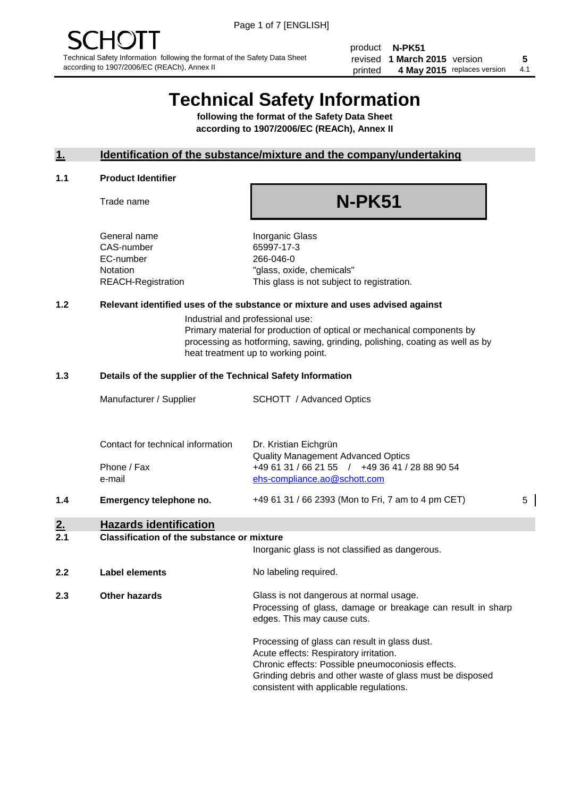product **N-PK51** revised **5 1 March 2015** version printed 4 May 2015 replaces version 4.1

## **Technical Safety Information**

**following the format of the Safety Data Sheet according to 1907/2006/EC (REACh), Annex II**

#### **1. Identification of the substance/mixture and the company/undertaking**

#### **1.1 Product Identifier**

Trade name

## **N-PK51**

General name **Inorganic Glass** CAS-number 65997-17-3 EC-number 266-046-0

Notation "glass, oxide, chemicals" REACH-Registration This glass is not subject to registration.

#### **1.2 Relevant identified uses of the substance or mixture and uses advised against**

Industrial and professional use: Primary material for production of optical or mechanical components by processing as hotforming, sawing, grinding, polishing, coating as well as by heat treatment up to working point.

#### **1.3 Details of the supplier of the Technical Safety Information**

|     | Manufacturer / Supplier           | <b>SCHOTT</b> / Advanced Optics                                                |   |
|-----|-----------------------------------|--------------------------------------------------------------------------------|---|
|     | Contact for technical information | Dr. Kristian Eichgrün<br><b>Quality Management Advanced Optics</b>             |   |
|     | Phone / Fax<br>e-mail             | +49 61 31 / 66 21 55 / +49 36 41 / 28 88 90 54<br>ehs-compliance.ao@schott.com |   |
| 1.4 | Emergency telephone no.           | +49 61 31 / 66 2393 (Mon to Fri, 7 am to 4 pm CET)                             | 5 |

### **2. Hazards identification**

#### **2.1 Classification of the substance or mixture**

|     |                      | Inorganic glass is not classified as dangerous.                                                                                                                                                                                                      |
|-----|----------------------|------------------------------------------------------------------------------------------------------------------------------------------------------------------------------------------------------------------------------------------------------|
| 2.2 | Label elements       | No labeling required.                                                                                                                                                                                                                                |
| 2.3 | <b>Other hazards</b> | Glass is not dangerous at normal usage.<br>Processing of glass, damage or breakage can result in sharp<br>edges. This may cause cuts.                                                                                                                |
|     |                      | Processing of glass can result in glass dust.<br>Acute effects: Respiratory irritation.<br>Chronic effects: Possible pneumoconiosis effects.<br>Grinding debris and other waste of glass must be disposed<br>consistent with applicable regulations. |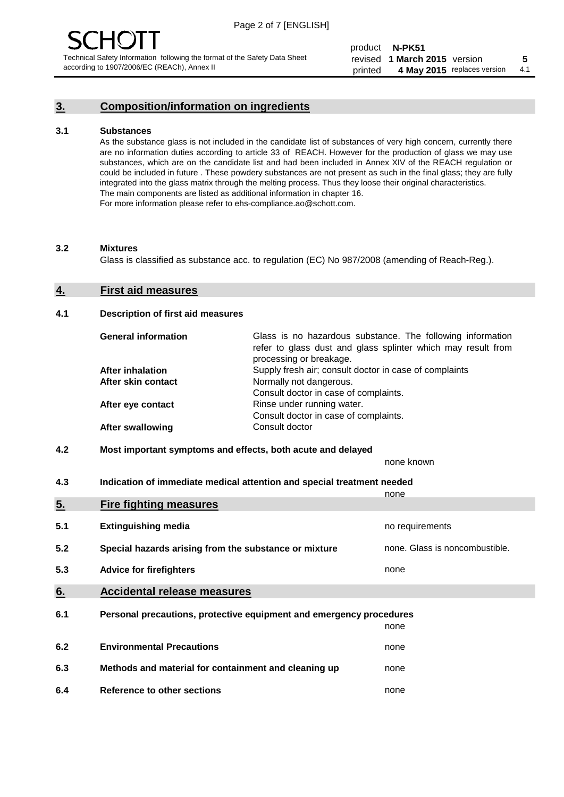### **3. Composition/information on ingredients**

#### **3.1 Substances**

As the substance glass is not included in the candidate list of substances of very high concern, currently there are no information duties according to article 33 of REACH. However for the production of glass we may use substances, which are on the candidate list and had been included in Annex XIV of the REACH regulation or could be included in future . These powdery substances are not present as such in the final glass; they are fully integrated into the glass matrix through the melting process. Thus they loose their original characteristics. The main components are listed as additional information in chapter 16. For more information please refer to ehs-compliance.ao@schott.com.

#### **3.2 Mixtures**

Glass is classified as substance acc. to regulation (EC) No 987/2008 (amending of Reach-Reg.).

#### **4. First aid measures**

#### **4.1 Description of first aid measures**

| <b>General information</b> | Glass is no hazardous substance. The following information<br>refer to glass dust and glass splinter which may result from<br>processing or breakage. |
|----------------------------|-------------------------------------------------------------------------------------------------------------------------------------------------------|
| <b>After inhalation</b>    | Supply fresh air; consult doctor in case of complaints                                                                                                |
| After skin contact         | Normally not dangerous.                                                                                                                               |
|                            | Consult doctor in case of complaints.                                                                                                                 |
| After eye contact          | Rinse under running water.                                                                                                                            |
|                            | Consult doctor in case of complaints.                                                                                                                 |
| <b>After swallowing</b>    | Consult doctor                                                                                                                                        |

#### **4.2 Most important symptoms and effects, both acute and delayed**

none known

**4.3 Indication of immediate medical attention and special treatment needed** 

|     |                                                                     | none                           |
|-----|---------------------------------------------------------------------|--------------------------------|
| 5.  | <b>Fire fighting measures</b>                                       |                                |
| 5.1 | <b>Extinguishing media</b>                                          | no requirements                |
| 5.2 | Special hazards arising from the substance or mixture               | none. Glass is noncombustible. |
| 5.3 | <b>Advice for firefighters</b>                                      | none                           |
| 6.  | <b>Accidental release measures</b>                                  |                                |
| 6.1 | Personal precautions, protective equipment and emergency procedures |                                |
|     |                                                                     | none                           |
| 6.2 | <b>Environmental Precautions</b>                                    | none                           |
| 6.3 | Methods and material for containment and cleaning up                | none                           |
| 6.4 | Reference to other sections                                         | none                           |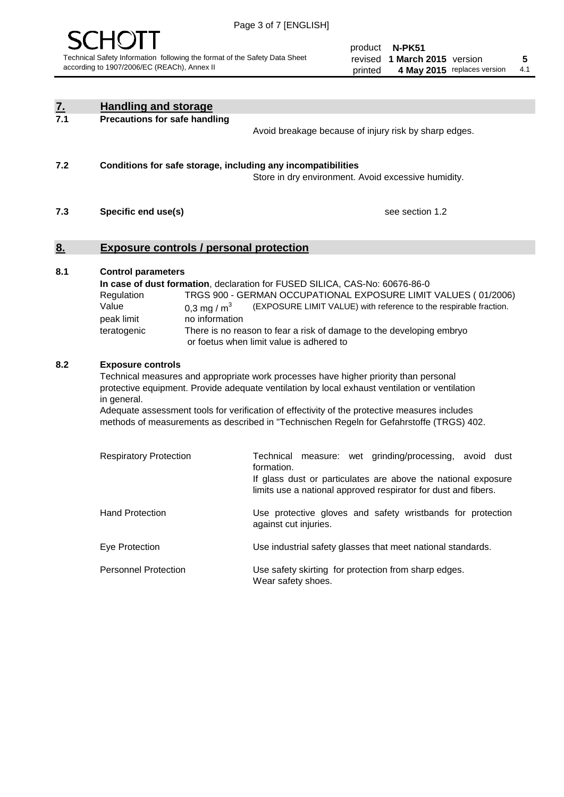

product **N-PK51** revised **5 1 March 2015** version printed 4 May 2015 replaces version 4.1

| $\underline{\mathbf{7}}$ . | <b>Handling and storage</b>                                                                                                                                                                                                                                                                                                                                                                                                    |                                                                                                                                                                                                                                                                                                                                        |
|----------------------------|--------------------------------------------------------------------------------------------------------------------------------------------------------------------------------------------------------------------------------------------------------------------------------------------------------------------------------------------------------------------------------------------------------------------------------|----------------------------------------------------------------------------------------------------------------------------------------------------------------------------------------------------------------------------------------------------------------------------------------------------------------------------------------|
| 7.1                        | <b>Precautions for safe handling</b>                                                                                                                                                                                                                                                                                                                                                                                           | Avoid breakage because of injury risk by sharp edges.                                                                                                                                                                                                                                                                                  |
| 7.2                        | Conditions for safe storage, including any incompatibilities                                                                                                                                                                                                                                                                                                                                                                   | Store in dry environment. Avoid excessive humidity.                                                                                                                                                                                                                                                                                    |
| 7.3                        | Specific end use(s)                                                                                                                                                                                                                                                                                                                                                                                                            | see section 1.2                                                                                                                                                                                                                                                                                                                        |
| 8.                         | <b>Exposure controls / personal protection</b>                                                                                                                                                                                                                                                                                                                                                                                 |                                                                                                                                                                                                                                                                                                                                        |
| 8.1                        | <b>Control parameters</b><br>Regulation<br>Value<br>0,3 mg / $m3$<br>peak limit<br>no information<br>teratogenic                                                                                                                                                                                                                                                                                                               | In case of dust formation, declaration for FUSED SILICA, CAS-No: 60676-86-0<br>TRGS 900 - GERMAN OCCUPATIONAL EXPOSURE LIMIT VALUES (01/2006)<br>(EXPOSURE LIMIT VALUE) with reference to the respirable fraction.<br>There is no reason to fear a risk of damage to the developing embryo<br>or foetus when limit value is adhered to |
| 8.2                        | <b>Exposure controls</b><br>Technical measures and appropriate work processes have higher priority than personal<br>protective equipment. Provide adequate ventilation by local exhaust ventilation or ventilation<br>in general.<br>Adequate assessment tools for verification of effectivity of the protective measures includes<br>methods of measurements as described in "Technischen Regeln for Gefahrstoffe (TRGS) 402. |                                                                                                                                                                                                                                                                                                                                        |
|                            | <b>Respiratory Protection</b>                                                                                                                                                                                                                                                                                                                                                                                                  | measure: wet grinding/processing,<br>Technical<br>avoid dust<br>formation.<br>If glass dust or particulates are above the national exposure<br>limits use a national approved respirator for dust and fibers.                                                                                                                          |
|                            | <b>Hand Protection</b>                                                                                                                                                                                                                                                                                                                                                                                                         | Use protective gloves and safety wristbands for protection<br>against cut injuries.                                                                                                                                                                                                                                                    |
|                            | Eye Protection                                                                                                                                                                                                                                                                                                                                                                                                                 | Use industrial safety glasses that meet national standards.                                                                                                                                                                                                                                                                            |
|                            | <b>Personnel Protection</b>                                                                                                                                                                                                                                                                                                                                                                                                    | Use safety skirting for protection from sharp edges.<br>Wear safety shoes.                                                                                                                                                                                                                                                             |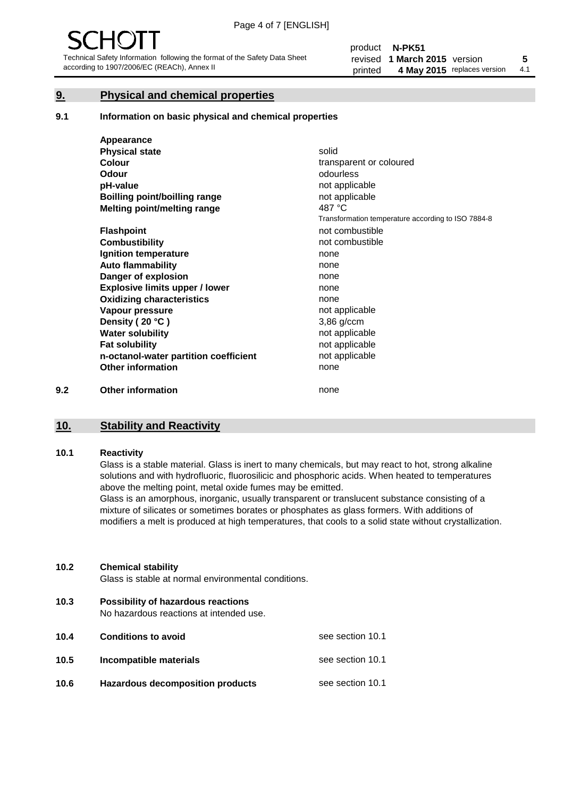### **9. Physical and chemical properties**

#### **9.1 Information on basic physical and chemical properties**

|     | Appearance                            |                                                    |
|-----|---------------------------------------|----------------------------------------------------|
|     | <b>Physical state</b>                 | solid                                              |
|     | <b>Colour</b>                         | transparent or coloured                            |
|     | <b>Odour</b>                          | odourless                                          |
|     | pH-value                              | not applicable                                     |
|     | Boilling point/boilling range         | not applicable                                     |
|     | Melting point/melting range           | 487 °C                                             |
|     |                                       | Transformation temperature according to ISO 7884-8 |
|     | <b>Flashpoint</b>                     | not combustible                                    |
|     | <b>Combustibility</b>                 | not combustible                                    |
|     | Ignition temperature                  | none                                               |
|     | <b>Auto flammability</b>              | none                                               |
|     | Danger of explosion                   | none                                               |
|     | <b>Explosive limits upper / lower</b> | none                                               |
|     | <b>Oxidizing characteristics</b>      | none                                               |
|     | Vapour pressure                       | not applicable                                     |
|     | Density (20 °C)                       | 3,86 g/ccm                                         |
|     | <b>Water solubility</b>               | not applicable                                     |
|     | <b>Fat solubility</b>                 | not applicable                                     |
|     | n-octanol-water partition coefficient | not applicable                                     |
|     | <b>Other information</b>              | none                                               |
| 9.2 | <b>Other information</b>              | none                                               |

## **10. Stability and Reactivity**

#### **10.1 Reactivity**

Glass is a stable material. Glass is inert to many chemicals, but may react to hot, strong alkaline solutions and with hydrofluoric, fluorosilicic and phosphoric acids. When heated to temperatures above the melting point, metal oxide fumes may be emitted.

Glass is an amorphous, inorganic, usually transparent or translucent substance consisting of a mixture of silicates or sometimes borates or phosphates as glass formers. With additions of modifiers a melt is produced at high temperatures, that cools to a solid state without crystallization.

#### **10.2 Chemical stability**

Glass is stable at normal environmental conditions.

**10.3 Possibility of hazardous reactions** 

No hazardous reactions at intended use.

| 10.4 | <b>Conditions to avoid</b>              | see section 10.1 |
|------|-----------------------------------------|------------------|
| 10.5 | Incompatible materials                  | see section 10.1 |
| 10.6 | <b>Hazardous decomposition products</b> | see section 10.1 |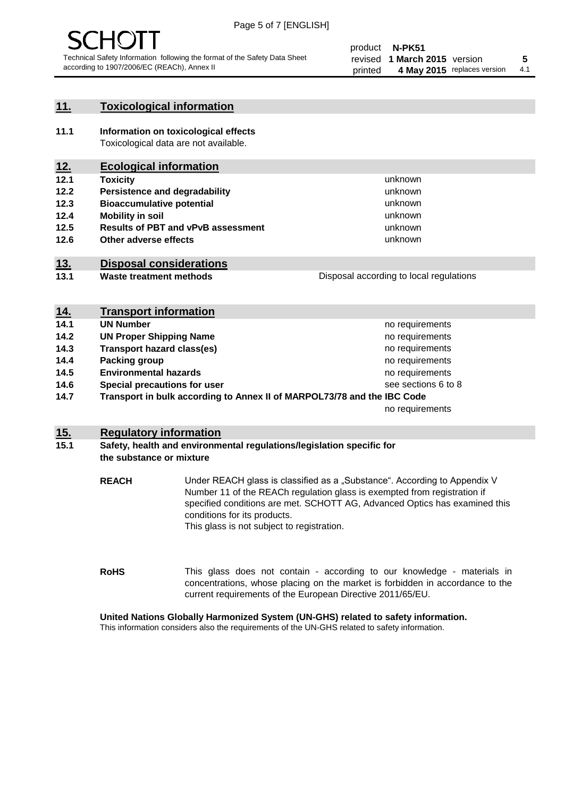

#### **11. Toxicological information**

**11.1 Information on toxicological effects** Toxicological data are not available.

### **12. Ecological information**

- **12.1 Toxicity**
- **12.2 Persistence and degradability**
- **12.3 Bioaccumulative potential**
- **12.4 Mobility in soil**
- **12.5 Results of PBT and vPvB assessment**
- **12.6 Other adverse effects**

#### **13. Disposal considerations**

**13.1 Waste treatment methods**

| Disposal according to local regulations |
|-----------------------------------------|
|                                         |

unknown unknown unknown unknown

unknown unknown

| <u>14.</u> | <b>Transport information</b>                                            |                     |
|------------|-------------------------------------------------------------------------|---------------------|
| 14.1       | <b>UN Number</b>                                                        | no requirements     |
| 14.2       | <b>UN Proper Shipping Name</b>                                          | no requirements     |
| 14.3       | <b>Transport hazard class(es)</b>                                       | no requirements     |
| 14.4       | Packing group                                                           | no requirements     |
| 14.5       | <b>Environmental hazards</b>                                            | no requirements     |
| 14.6       | Special precautions for user                                            | see sections 6 to 8 |
| 14.7       | Transport in bulk according to Annex II of MARPOL73/78 and the IBC Code |                     |
|            |                                                                         | no requirements     |

#### **15. Regulatory information**

#### **15.1 Safety, health and environmental regulations/legislation specific for the substance or mixture**

**REACH** Under REACH glass is classified as a "Substance". According to Appendix V Number 11 of the REACh regulation glass is exempted from registration if specified conditions are met. SCHOTT AG, Advanced Optics has examined this conditions for its products. This glass is not subject to registration.

**RoHS** This glass does not contain - according to our knowledge - materials in concentrations, whose placing on the market is forbidden in accordance to the current requirements of the European Directive 2011/65/EU.

#### **United Nations Globally Harmonized System (UN-GHS) related to safety information.**

This information considers also the requirements of the UN-GHS related to safety information.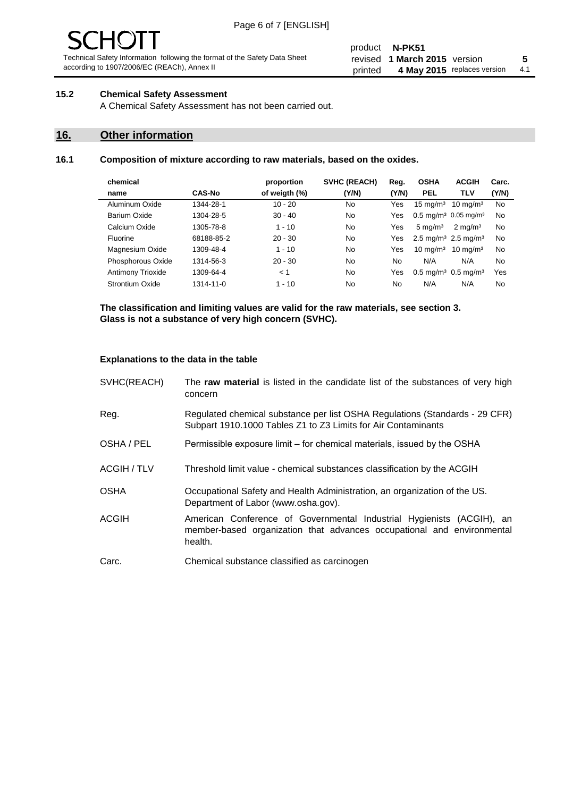# $\mathbf{H}$

Technical Safety Information following the format of the Safety Data Sheet according to 1907/2006/EC (REACh), Annex II

#### product **N-PK51** revised **5 1 March 2015** version printed 4 May 2015 replaces version 4.1

#### **15.2 Chemical Safety Assessment**

A Chemical Safety Assessment has not been carried out.

#### **16. Other information**

#### **16.1 Composition of mixture according to raw materials, based on the oxides.**

|               | proportion    | <b>SVHC (REACH)</b> | Reg.  | <b>OSHA</b>         | <b>ACGIH</b>        | Carc.                                                                                                                                       |
|---------------|---------------|---------------------|-------|---------------------|---------------------|---------------------------------------------------------------------------------------------------------------------------------------------|
| <b>CAS-No</b> | of weigth (%) | (Y/N)               | (Y/N) | <b>PEL</b>          | <b>TLV</b>          | (Y/N)                                                                                                                                       |
| 1344-28-1     | $10 - 20$     | No                  | Yes   | $15 \text{ mg/m}^3$ | $10 \text{ mg/m}^3$ | No                                                                                                                                          |
| 1304-28-5     | $30 - 40$     | No.                 | Yes   |                     |                     | No                                                                                                                                          |
| 1305-78-8     | $1 - 10$      | N <sub>0</sub>      | Yes   | $5 \text{ mg/m}^3$  | $2 \text{ mg/m}^3$  | No                                                                                                                                          |
| 68188-85-2    | $20 - 30$     | N <sub>0</sub>      | Yes   |                     |                     | No                                                                                                                                          |
| 1309-48-4     | $1 - 10$      | No                  | Yes   | $10 \text{ mg/m}^3$ | $10 \text{ mg/m}^3$ | No                                                                                                                                          |
| 1314-56-3     | $20 - 30$     | N <sub>0</sub>      | No    | N/A                 | N/A                 | No                                                                                                                                          |
| 1309-64-4     | < 1           | No                  | Yes   |                     |                     | Yes                                                                                                                                         |
| 1314-11-0     | $1 - 10$      | No                  | No    | N/A                 | N/A                 | No                                                                                                                                          |
|               |               |                     |       |                     |                     | $0.5 \text{ mg/m}^3$ 0.05 mg/m <sup>3</sup><br>2.5 mg/m <sup>3</sup> 2.5 mg/m <sup>3</sup><br>$0.5 \,\mathrm{mq/m^3}$ 0.5 mg/m <sup>3</sup> |

**The classification and limiting values are valid for the raw materials, see section 3. Glass is not a substance of very high concern (SVHC).**

#### **Explanations to the data in the table**

| SVHC(REACH)        | The raw material is listed in the candidate list of the substances of very high<br>concern                                                                 |
|--------------------|------------------------------------------------------------------------------------------------------------------------------------------------------------|
| Reg.               | Regulated chemical substance per list OSHA Regulations (Standards - 29 CFR)<br>Subpart 1910.1000 Tables Z1 to Z3 Limits for Air Contaminants               |
| OSHA / PEL         | Permissible exposure limit – for chemical materials, issued by the OSHA                                                                                    |
| <b>ACGIH / TLV</b> | Threshold limit value - chemical substances classification by the ACGIH                                                                                    |
| <b>OSHA</b>        | Occupational Safety and Health Administration, an organization of the US.<br>Department of Labor (www.osha.gov).                                           |
| <b>ACGIH</b>       | American Conference of Governmental Industrial Hygienists (ACGIH), an<br>member-based organization that advances occupational and environmental<br>health. |
| Carc.              | Chemical substance classified as carcinogen                                                                                                                |